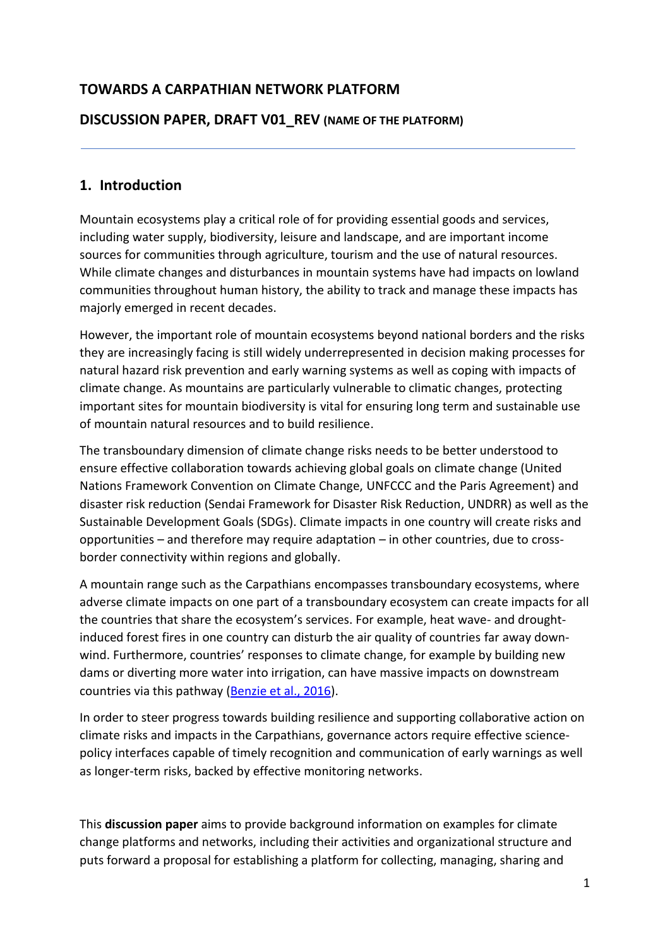## **TOWARDS A CARPATHIAN NETWORK PLATFORM**

#### **DISCUSSION PAPER, DRAFT V01\_REV (NAME OF THE PLATFORM)**

#### **1. Introduction**

Mountain ecosystems play a critical role of for providing essential goods and services, including water supply, biodiversity, leisure and landscape, and are important income sources for communities through agriculture, tourism and the use of natural resources. While climate changes and disturbances in mountain systems have had impacts on lowland communities throughout human history, the ability to track and manage these impacts has majorly emerged in recent decades.

However, the important role of mountain ecosystems beyond national borders and the risks they are increasingly facing is still widely underrepresented in decision making processes for natural hazard risk prevention and early warning systems as well as coping with impacts of climate change. As mountains are particularly vulnerable to climatic changes, protecting important sites for mountain biodiversity is vital for ensuring long term and sustainable use of mountain natural resources and to build resilience.

The transboundary dimension of climate change risks needs to be better understood to ensure effective collaboration towards achieving global goals on climate change (United Nations Framework Convention on Climate Change, UNFCCC and the Paris Agreement) and disaster risk reduction (Sendai Framework for Disaster Risk Reduction, UNDRR) as well as the Sustainable Development Goals (SDGs). Climate impacts in one country will create risks and opportunities – and therefore may require adaptation – in other countries, due to crossborder connectivity within regions and globally.

A mountain range such as the Carpathians encompasses transboundary ecosystems, where adverse climate impacts on one part of a transboundary ecosystem can create impacts for all the countries that share the ecosystem's services. For example, heat wave- and droughtinduced forest fires in one country can disturb the air quality of countries far away downwind. Furthermore, countries' responses to climate change, for example by building new dams or diverting more water into irrigation, can have massive impacts on downstream countries via this pathway [\(Benzie et al., 2016\)](https://www.weadapt.org/sites/weadapt.org/files/2017/november/sei-wp-2016-07-introducing-tci-index.pdf).

In order to steer progress towards building resilience and supporting collaborative action on climate risks and impacts in the Carpathians, governance actors require effective sciencepolicy interfaces capable of timely recognition and communication of early warnings as well as longer-term risks, backed by effective monitoring networks.

This **discussion paper** aims to provide background information on examples for climate change platforms and networks, including their activities and organizational structure and puts forward a proposal for establishing a platform for collecting, managing, sharing and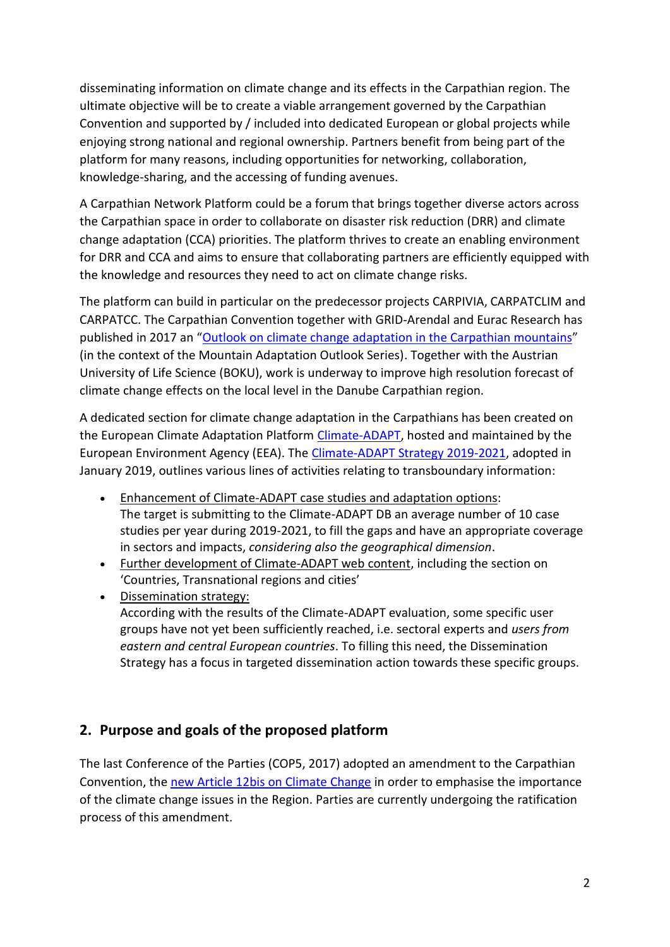disseminating information on climate change and its effects in the Carpathian region. The ultimate objective will be to create a viable arrangement governed by the Carpathian Convention and supported by / included into dedicated European or global projects while enjoying strong national and regional ownership. Partners benefit from being part of the platform for many reasons, including opportunities for networking, collaboration, knowledge-sharing, and the accessing of funding avenues.

A Carpathian Network Platform could be a forum that brings together diverse actors across the Carpathian space in order to collaborate on disaster risk reduction (DRR) and climate change adaptation (CCA) priorities. The platform thrives to create an enabling environment for DRR and CCA and aims to ensure that collaborating partners are efficiently equipped with the knowledge and resources they need to act on climate change risks.

The platform can build in particular on the predecessor projects CARPIVIA, CARPATCLIM and CARPATCC. The Carpathian Convention together with GRID-Arendal and Eurac Research has published in 2017 an "[Outlook on climate change adaptation in the Carpathian mountains](http://www.carpathianconvention.org/tl_files/carpathiancon/Downloads/02%20Activities/Climate%20Change/MP_Carpathians_lores.pdf)" (in the context of the Mountain Adaptation Outlook Series). Together with the Austrian University of Life Science (BOKU), work is underway to improve high resolution forecast of climate change effects on the local level in the Danube Carpathian region.

A dedicated section for climate change adaptation in the Carpathians has been created on the European Climate Adaptation Platform [Climate-ADAPT,](https://climate-adapt.eea.europa.eu/countries-regions/transnational-regions/carpathian-mountains/general) hosted and maintained by the European Environment Agency (EEA). The [Climate-ADAPT Strategy 2019-2021,](https://climate-adapt.eea.europa.eu/about/c-a-strategy-2019-2021-final-jan-2019-docx.pdf) adopted in January 2019, outlines various lines of activities relating to transboundary information:

- Enhancement of Climate-ADAPT case studies and adaptation options: The target is submitting to the Climate-ADAPT DB an average number of 10 case studies per year during 2019-2021, to fill the gaps and have an appropriate coverage in sectors and impacts, *considering also the geographical dimension*.
- Further development of Climate-ADAPT web content, including the section on 'Countries, Transnational regions and cities'
- Dissemination strategy: According with the results of the Climate-ADAPT evaluation, some specific user groups have not yet been sufficiently reached, i.e. sectoral experts and *users from eastern and central European countries*. To filling this need, the Dissemination Strategy has a focus in targeted dissemination action towards these specific groups.

# <span id="page-1-0"></span>**2. Purpose and goals of the proposed platform**

The last Conference of the Parties (COP5, 2017) adopted an amendment to the Carpathian Convention, the [new Article 12bis on Climate Change](http://www.carpathianconvention.org/text-of-the-convention.html) in order to emphasise the importance of the climate change issues in the Region. Parties are currently undergoing the ratification process of this amendment.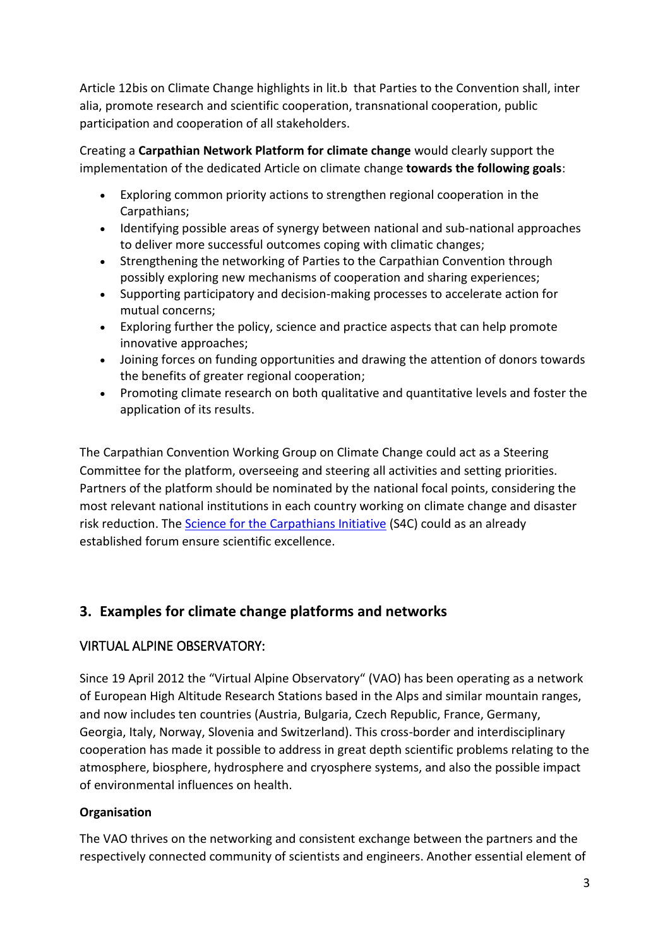Article 12bis on Climate Change highlights in lit.b that Parties to the Convention shall, inter alia, promote research and scientific cooperation, transnational cooperation, public participation and cooperation of all stakeholders.

Creating a **Carpathian Network Platform for climate change** would clearly support the implementation of the dedicated Article on climate change **towards the following goals**:

- Exploring common priority actions to strengthen regional cooperation in the Carpathians;
- Identifying possible areas of synergy between national and sub-national approaches to deliver more successful outcomes coping with climatic changes;
- Strengthening the networking of Parties to the Carpathian Convention through possibly exploring new mechanisms of cooperation and sharing experiences;
- Supporting participatory and decision-making processes to accelerate action for mutual concerns;
- Exploring further the policy, science and practice aspects that can help promote innovative approaches;
- Joining forces on funding opportunities and drawing the attention of donors towards the benefits of greater regional cooperation;
- Promoting climate research on both qualitative and quantitative levels and foster the application of its results.

The Carpathian Convention Working Group on Climate Change could act as a Steering Committee for the platform, overseeing and steering all activities and setting priorities. Partners of the platform should be nominated by the national focal points, considering the most relevant national institutions in each country working on climate change and disaster risk reduction. The [Science for the Carpathians Initiative](http://carpathianscience.org/) (S4C) could as an already established forum ensure scientific excellence.

# **3. Examples for climate change platforms and networks**

## VIRTUAL ALPINE OBSERVATORY:

Since 19 April 2012 the "Virtual Alpine Observatory" (VAO) has been operating as a network of European High Altitude Research Stations based in the Alps and similar mountain ranges, and now includes ten countries (Austria, Bulgaria, Czech Republic, France, Germany, Georgia, Italy, Norway, Slovenia and Switzerland). This cross-border and interdisciplinary cooperation has made it possible to address in great depth scientific problems relating to the atmosphere, biosphere, hydrosphere and cryosphere systems, and also the possible impact of environmental influences on health.

#### **Organisation**

The VAO thrives on the networking and consistent exchange between the partners and the respectively connected community of scientists and engineers. Another essential element of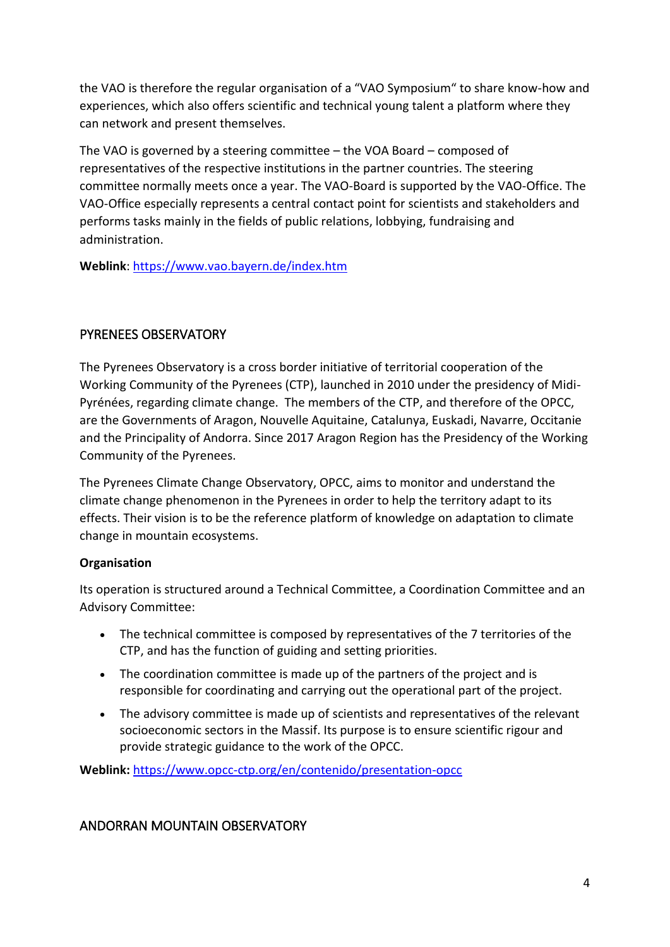the VAO is therefore the regular organisation of a "VAO Symposium" to share know-how and experiences, which also offers scientific and technical young talent a platform where they can network and present themselves.

The VAO is governed by a steering committee – the VOA Board – composed of representatives of the respective institutions in the partner countries. The steering committee normally meets once a year. The VAO-Board is supported by the VAO-Office. The VAO-Office especially represents a central contact point for scientists and stakeholders and performs tasks mainly in the fields of public relations, lobbying, fundraising and administration.

**Weblink**:<https://www.vao.bayern.de/index.htm>

### PYRENEES OBSERVATORY

The Pyrenees Observatory is a cross border initiative of territorial cooperation of the Working Community of the Pyrenees (CTP), launched in 2010 under the presidency of Midi-Pyrénées, regarding climate change. The members of the CTP, and therefore of the OPCC, are the Governments of Aragon, Nouvelle Aquitaine, Catalunya, Euskadi, Navarre, Occitanie and the Principality of Andorra. Since 2017 Aragon Region has the Presidency of the Working Community of the Pyrenees.

The Pyrenees Climate Change Observatory, OPCC, aims to monitor and understand the climate change phenomenon in the Pyrenees in order to help the territory adapt to its effects. Their vision is to be the reference platform of knowledge on adaptation to climate change in mountain ecosystems.

#### **Organisation**

Its operation is structured around a Technical Committee, a Coordination Committee and an Advisory Committee:

- The technical committee is composed by representatives of the 7 territories of the CTP, and has the function of guiding and setting priorities.
- The coordination committee is made up of the partners of the project and is responsible for coordinating and carrying out the operational part of the project.
- The advisory committee is made up of scientists and representatives of the relevant socioeconomic sectors in the Massif. Its purpose is to ensure scientific rigour and provide strategic guidance to the work of the OPCC.

**Weblink:** <https://www.opcc-ctp.org/en/contenido/presentation-opcc>

## ANDORRAN MOUNTAIN OBSERVATORY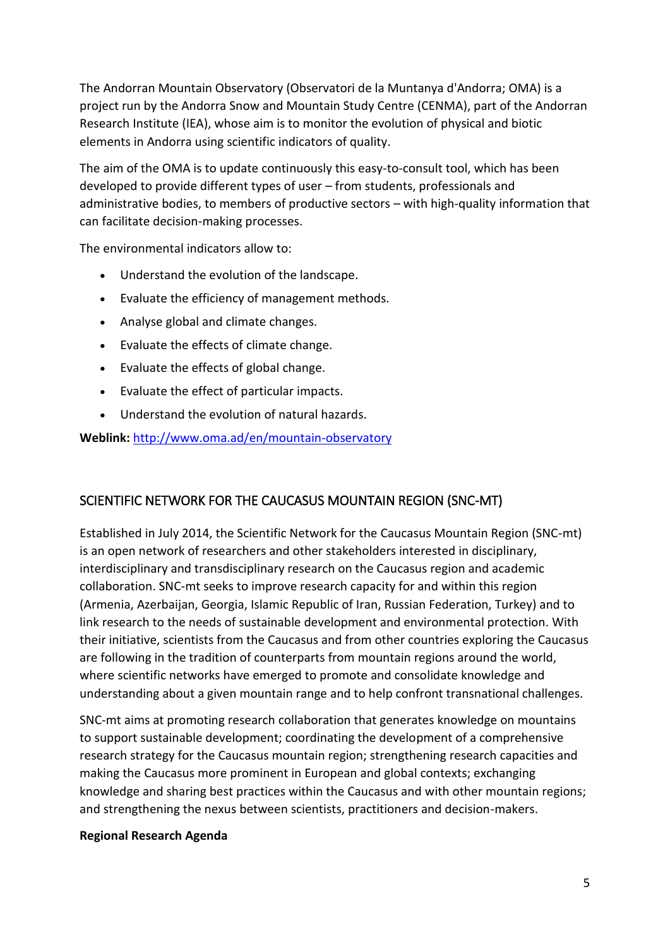The Andorran Mountain Observatory (Observatori de la Muntanya d'Andorra; OMA) is a project run by the Andorra Snow and Mountain Study Centre (CENMA), part of the Andorran Research Institute (IEA), whose aim is to monitor the evolution of physical and biotic elements in Andorra using scientific indicators of quality.

The aim of the OMA is to update continuously this easy-to-consult tool, which has been developed to provide different types of user – from students, professionals and administrative bodies, to members of productive sectors – with high-quality information that can facilitate decision-making processes.

The environmental indicators allow to:

- Understand the evolution of the landscape.
- Evaluate the efficiency of management methods.
- Analyse global and climate changes.
- Evaluate the effects of climate change.
- Evaluate the effects of global change.
- Evaluate the effect of particular impacts.
- Understand the evolution of natural hazards.

**Weblink:** <http://www.oma.ad/en/mountain-observatory>

#### SCIENTIFIC NETWORK FOR THE CAUCASUS MOUNTAIN REGION (SNC-MT)

Established in July 2014, the Scientific Network for the Caucasus Mountain Region (SNC-mt) is an open network of researchers and other stakeholders interested in disciplinary, interdisciplinary and transdisciplinary research on the Caucasus region and academic collaboration. SNC-mt seeks to improve research capacity for and within this region (Armenia, Azerbaijan, Georgia, Islamic Republic of Iran, Russian Federation, Turkey) and to link research to the needs of sustainable development and environmental protection. With their initiative, scientists from the Caucasus and from other countries exploring the Caucasus are following in the tradition of counterparts from mountain regions around the world, where scientific networks have emerged to promote and consolidate knowledge and understanding about a given mountain range and to help confront transnational challenges.

SNC-mt aims at promoting research collaboration that generates knowledge on mountains to support sustainable development; coordinating the development of a comprehensive research strategy for the Caucasus mountain region; strengthening research capacities and making the Caucasus more prominent in European and global contexts; exchanging knowledge and sharing best practices within the Caucasus and with other mountain regions; and strengthening the nexus between scientists, practitioners and decision-makers.

#### **Regional Research Agenda**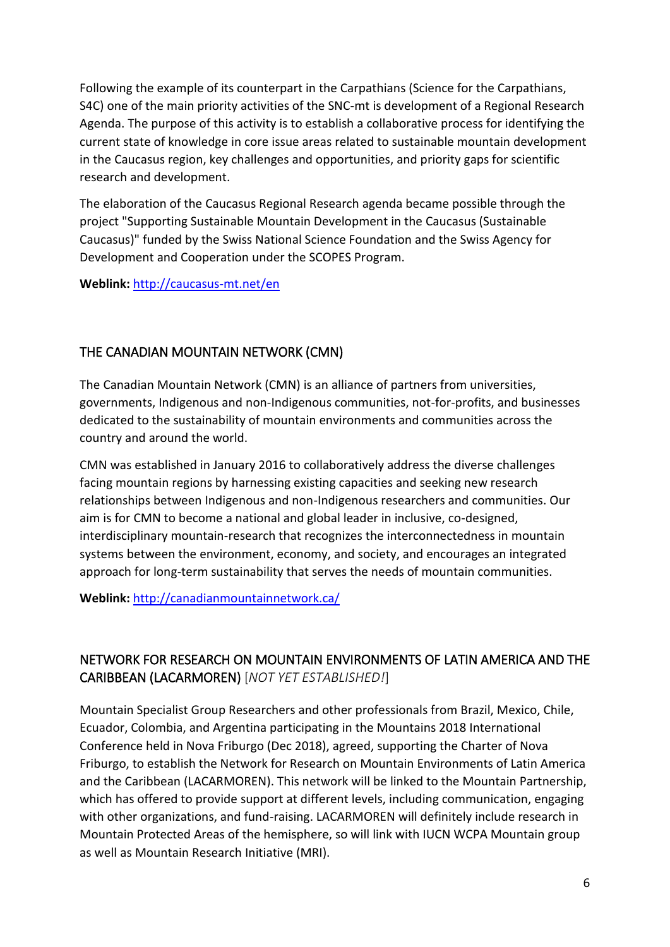Following the example of its counterpart in the Carpathians (Science for the Carpathians, S4C) one of the main priority activities of the SNC-mt is development of a Regional Research Agenda. The purpose of this activity is to establish a collaborative process for identifying the current state of knowledge in core issue areas related to sustainable mountain development in the Caucasus region, key challenges and opportunities, and priority gaps for scientific research and development.

The elaboration of the Caucasus Regional Research agenda became possible through the project "Supporting Sustainable Mountain Development in the Caucasus (Sustainable Caucasus)" funded by the Swiss National Science Foundation and the Swiss Agency for Development and Cooperation under the SCOPES Program.

**Weblink:** <http://caucasus-mt.net/en>

### THE CANADIAN MOUNTAIN NETWORK (CMN)

The Canadian Mountain Network (CMN) is an alliance of partners from universities, governments, Indigenous and non-Indigenous communities, not-for-profits, and businesses dedicated to the sustainability of mountain environments and communities across the country and around the world.

CMN was established in January 2016 to collaboratively address the diverse challenges facing mountain regions by harnessing existing capacities and seeking new research relationships between Indigenous and non-Indigenous researchers and communities. Our aim is for CMN to become a national and global leader in inclusive, co-designed, interdisciplinary mountain-research that recognizes the interconnectedness in mountain systems between the environment, economy, and society, and encourages an integrated approach for long-term sustainability that serves the needs of mountain communities.

**Weblink:** <http://canadianmountainnetwork.ca/>

## NETWORK FOR RESEARCH ON MOUNTAIN ENVIRONMENTS OF LATIN AMERICA AND THE CARIBBEAN (LACARMOREN) [*NOT YET ESTABLISHED!*]

Mountain Specialist Group Researchers and other professionals from Brazil, Mexico, Chile, Ecuador, Colombia, and Argentina participating in the Mountains 2018 International Conference held in Nova Friburgo (Dec 2018), agreed, supporting the Charter of Nova Friburgo, to establish the Network for Research on Mountain Environments of Latin America and the Caribbean (LACARMOREN). This network will be linked to the Mountain Partnership, which has offered to provide support at different levels, including communication, engaging with other organizations, and fund-raising. LACARMOREN will definitely include research in Mountain Protected Areas of the hemisphere, so will link with IUCN WCPA Mountain group as well as Mountain Research Initiative (MRI).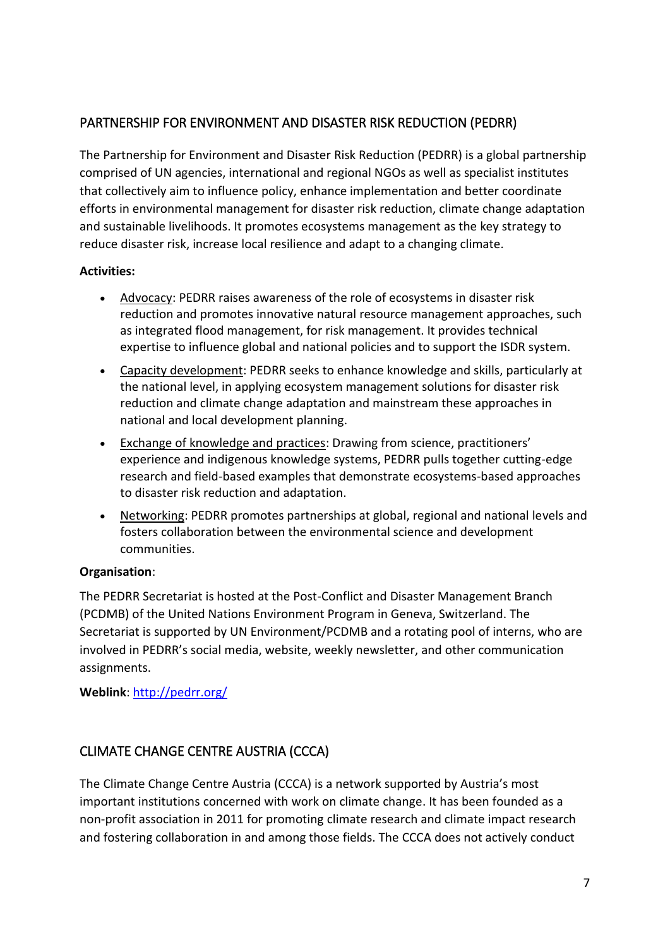## PARTNERSHIP FOR ENVIRONMENT AND DISASTER RISK REDUCTION (PEDRR)

The Partnership for Environment and Disaster Risk Reduction (PEDRR) is a global partnership comprised of UN agencies, international and regional NGOs as well as specialist institutes that collectively aim to influence policy, enhance implementation and better coordinate efforts in environmental management for disaster risk reduction, climate change adaptation and sustainable livelihoods. It promotes ecosystems management as the key strategy to reduce disaster risk, increase local resilience and adapt to a changing climate.

#### **Activities:**

- Advocacy: PEDRR raises awareness of the role of ecosystems in disaster risk reduction and promotes innovative natural resource management approaches, such as integrated flood management, for risk management. It provides technical expertise to influence global and national policies and to support the ISDR system.
- Capacity development: PEDRR seeks to enhance knowledge and skills, particularly at the national level, in applying ecosystem management solutions for disaster risk reduction and climate change adaptation and mainstream these approaches in national and local development planning.
- Exchange of knowledge and practices: Drawing from science, practitioners' experience and indigenous knowledge systems, PEDRR pulls together cutting-edge research and field-based examples that demonstrate ecosystems-based approaches to disaster risk reduction and adaptation.
- Networking: PEDRR promotes partnerships at global, regional and national levels and fosters collaboration between the environmental science and development communities.

#### **Organisation**:

The PEDRR Secretariat is hosted at the Post-Conflict and Disaster Management Branch (PCDMB) of the United Nations Environment Program in Geneva, Switzerland. The Secretariat is supported by UN Environment/PCDMB and a rotating pool of interns, who are involved in PEDRR's social media, website, weekly newsletter, and other communication assignments.

#### **Weblink**:<http://pedrr.org/>

## CLIMATE CHANGE CENTRE AUSTRIA (CCCA)

The Climate Change Centre Austria (CCCA) is a network supported by Austria's most important institutions concerned with work on climate change. It has been founded as a non-profit association in 2011 for promoting climate research and climate impact research and fostering collaboration in and among those fields. The CCCA does not actively conduct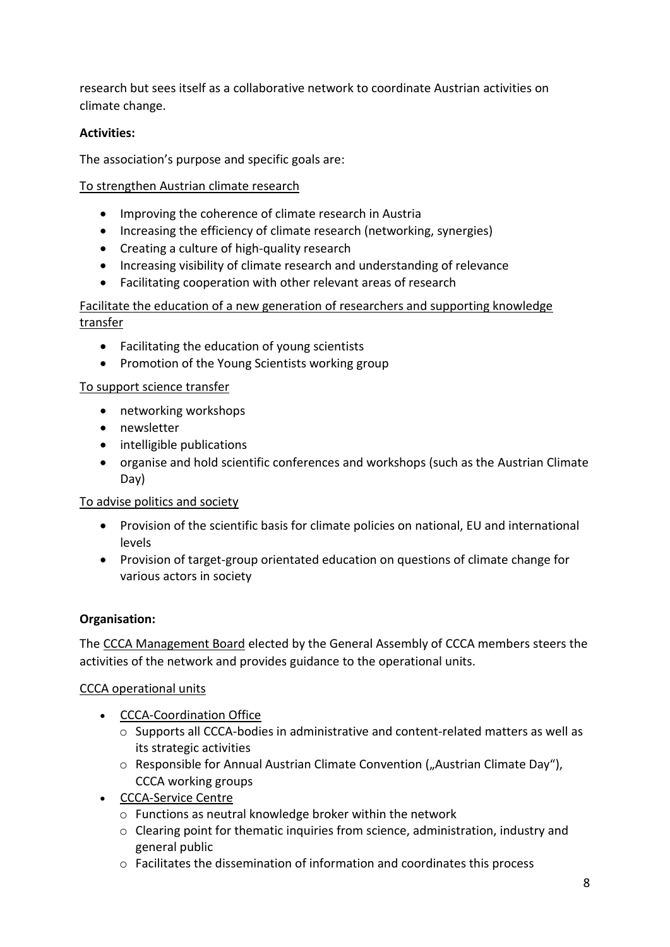research but sees itself as a collaborative network to coordinate Austrian activities on climate change.

#### **Activities:**

The association's purpose and specific goals are:

### To strengthen Austrian climate research

- Improving the coherence of climate research in Austria
- Increasing the efficiency of climate research (networking, synergies)
- Creating a culture of high-quality research
- Increasing visibility of climate research and understanding of relevance
- Facilitating cooperation with other relevant areas of research

### Facilitate the education of a new generation of researchers and supporting knowledge transfer

- Facilitating the education of young scientists
- Promotion of the Young Scientists working group

#### To support science transfer

- networking workshops
- newsletter
- intelligible publications
- organise and hold scientific conferences and workshops (such as the Austrian Climate Day)

#### To advise politics and society

- Provision of the scientific basis for climate policies on national, EU and international levels
- Provision of target-group orientated education on questions of climate change for various actors in society

## **Organisation:**

The CCCA Management Board elected by the General Assembly of CCCA members steers the activities of the network and provides guidance to the operational units.

#### CCCA operational units

- CCCA-Coordination Office
	- o Supports all CCCA-bodies in administrative and content-related matters as well as its strategic activities
	- $\circ$  Responsible for Annual Austrian Climate Convention ("Austrian Climate Day"), CCCA working groups
- CCCA-Service Centre
	- o Functions as neutral knowledge broker within the network
	- o Clearing point for thematic inquiries from science, administration, industry and general public
	- o Facilitates the dissemination of information and coordinates this process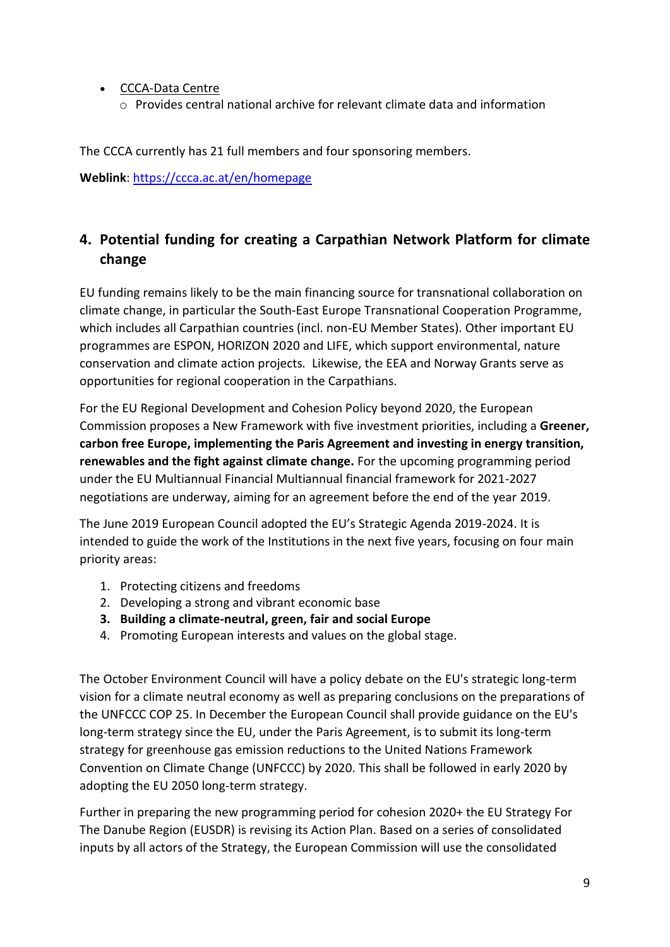- CCCA-Data Centre
	- o Provides central national archive for relevant climate data and information

The CCCA currently has 21 full members and four sponsoring members.

**Weblink**:<https://ccca.ac.at/en/homepage>

# **4. Potential funding for creating a Carpathian Network Platform for climate change**

EU funding remains likely to be the main financing source for transnational collaboration on climate change, in particular the South-East Europe Transnational Cooperation Programme, which includes all Carpathian countries (incl. non-EU Member States). Other important EU programmes are ESPON, HORIZON 2020 and LIFE, which support environmental, nature conservation and climate action projects*.* Likewise, the EEA and Norway Grants serve as opportunities for regional cooperation in the Carpathians.

For the EU Regional Development and Cohesion Policy beyond 2020, the European Commission proposes a New Framework with five investment priorities, including a **Greener, carbon free Europe, implementing the Paris Agreement and investing in energy transition, renewables and the fight against climate change.** For the upcoming programming period under the EU Multiannual Financial Multiannual financial framework for 2021-2027 negotiations are underway, aiming for an agreement before the end of the year 2019.

The June 2019 European Council adopted the EU's Strategic Agenda 2019-2024. It is intended to guide the work of the Institutions in the next five years, focusing on four main priority areas:

- 1. Protecting citizens and freedoms
- 2. Developing a strong and vibrant economic base
- **3. Building a climate-neutral, green, fair and social Europe**
- 4. Promoting European interests and values on the global stage.

The October Environment Council will have a policy debate on the EU's strategic long-term vision for a climate neutral economy as well as preparing conclusions on the preparations of the UNFCCC COP 25. In December the European Council shall provide guidance on the EU's long-term strategy since the EU, under the Paris Agreement, is to submit its long-term strategy for greenhouse gas emission reductions to the United Nations Framework Convention on Climate Change (UNFCCC) by 2020. This shall be followed in early 2020 by adopting the EU 2050 long-term strategy.

Further in preparing the new programming period for cohesion 2020+ the EU Strategy For The Danube Region (EUSDR) is revising its Action Plan. Based on a series of consolidated inputs by all actors of the Strategy, the European Commission will use the consolidated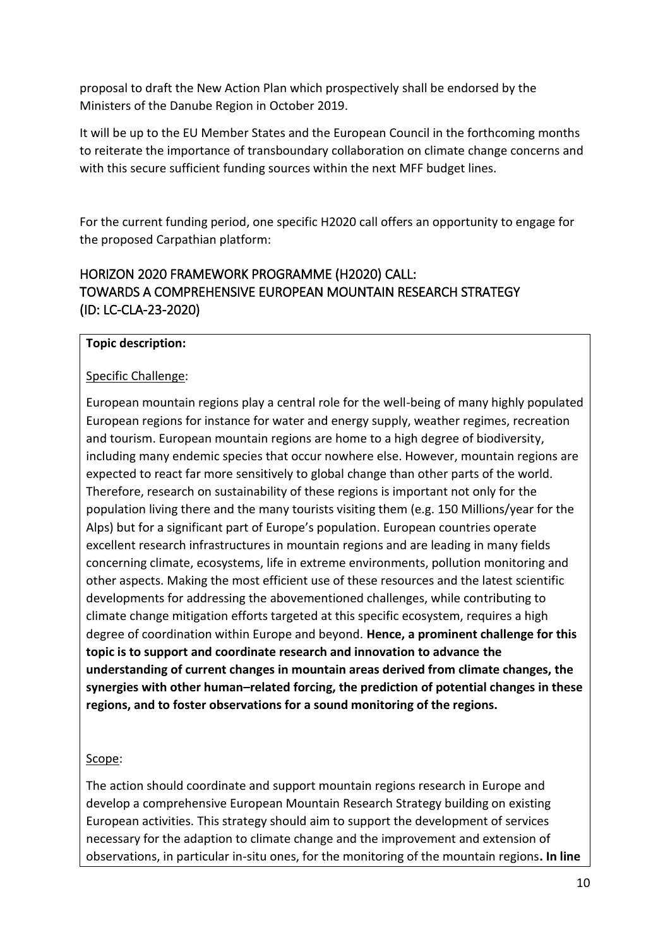proposal to draft the New Action Plan which prospectively shall be endorsed by the Ministers of the Danube Region in October 2019.

It will be up to the EU Member States and the European Council in the forthcoming months to reiterate the importance of transboundary collaboration on climate change concerns and with this secure sufficient funding sources within the next MFF budget lines.

For the current funding period, one specific H2020 call offers an opportunity to engage for the proposed Carpathian platform:

# HORIZON 2020 FRAMEWORK PROGRAMME (H2020) CALL: TOWARDS A COMPREHENSIVE EUROPEAN MOUNTAIN RESEARCH STRATEGY (ID: LC-CLA-23-2020)

#### **Topic description:**

#### Specific Challenge:

European mountain regions play a central role for the well-being of many highly populated European regions for instance for water and energy supply, weather regimes, recreation and tourism. European mountain regions are home to a high degree of biodiversity, including many endemic species that occur nowhere else. However, mountain regions are expected to react far more sensitively to global change than other parts of the world. Therefore, research on sustainability of these regions is important not only for the population living there and the many tourists visiting them (e.g. 150 Millions/year for the Alps) but for a significant part of Europe's population. European countries operate excellent research infrastructures in mountain regions and are leading in many fields concerning climate, ecosystems, life in extreme environments, pollution monitoring and other aspects. Making the most efficient use of these resources and the latest scientific developments for addressing the abovementioned challenges, while contributing to climate change mitigation efforts targeted at this specific ecosystem, requires a high degree of coordination within Europe and beyond. **Hence, a prominent challenge for this topic is to support and coordinate research and innovation to advance the understanding of current changes in mountain areas derived from climate changes, the synergies with other human–related forcing, the prediction of potential changes in these regions, and to foster observations for a sound monitoring of the regions.**

#### Scope:

The action should coordinate and support mountain regions research in Europe and develop a comprehensive European Mountain Research Strategy building on existing European activities. This strategy should aim to support the development of services necessary for the adaption to climate change and the improvement and extension of observations, in particular in-situ ones, for the monitoring of the mountain regions**. In line**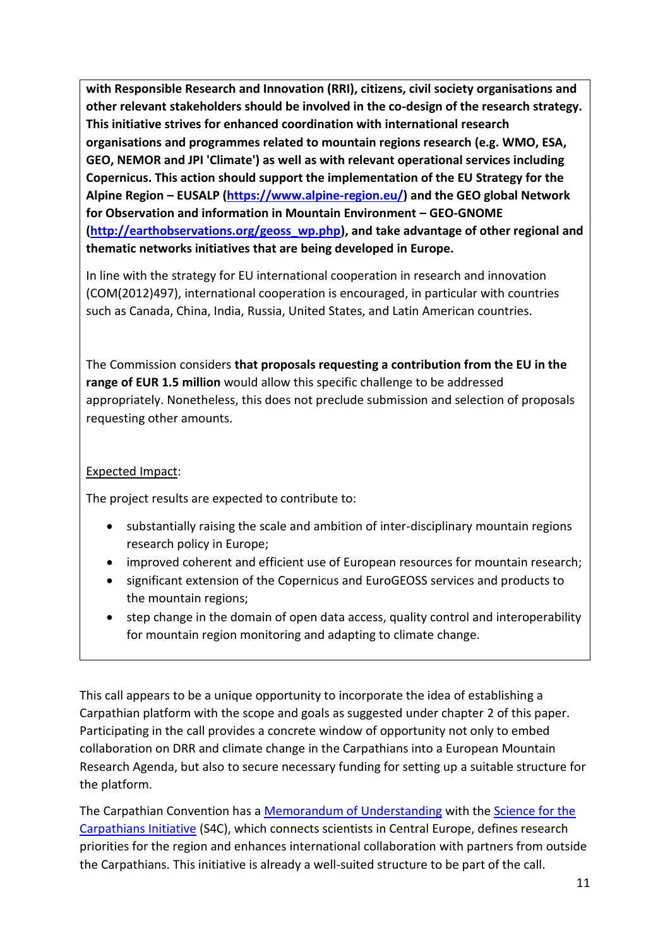**with Responsible Research and Innovation (RRI), citizens, civil society organisations and other relevant stakeholders should be involved in the co-design of the research strategy. This initiative strives for enhanced coordination with international research organisations and programmes related to mountain regions research (e.g. WMO, ESA, GEO, NEMOR and JPI 'Climate') as well as with relevant operational services including Copernicus. This action should support the implementation of the EU Strategy for the Alpine Region – EUSALP [\(https://www.alpine-region.eu/\)](https://www.alpine-region.eu/) and the GEO global Network for Observation and information in Mountain Environment – GEO-GNOME [\(http://earthobservations.org/geoss\\_wp.php\)](http://earthobservations.org/geoss_wp.php), and take advantage of other regional and thematic networks initiatives that are being developed in Europe.**

In line with the strategy for EU international cooperation in research and innovation (COM(2012)497), international cooperation is encouraged, in particular with countries such as Canada, China, India, Russia, United States, and Latin American countries.

The Commission considers **that proposals requesting a contribution from the EU in the range of EUR 1.5 million** would allow this specific challenge to be addressed appropriately. Nonetheless, this does not preclude submission and selection of proposals requesting other amounts.

#### Expected Impact:

The project results are expected to contribute to:

- substantially raising the scale and ambition of inter-disciplinary mountain regions research policy in Europe;
- improved coherent and efficient use of European resources for mountain research;
- significant extension of the Copernicus and EuroGEOSS services and products to the mountain regions;
- step change in the domain of open data access, quality control and interoperability for mountain region monitoring and adapting to climate change.

This call appears to be a unique opportunity to incorporate the idea of establishing a Carpathian platform with the scope and goals as suggested under chapter [2](#page-1-0) of this paper. Participating in the call provides a concrete window of opportunity not only to embed collaboration on DRR and climate change in the Carpathians into a European Mountain Research Agenda, but also to secure necessary funding for setting up a suitable structure for the platform.

The Carpathian Convention has a [Memorandum of Understanding](http://carpathianscience.org/downloads/20120530_MoU_CC_S4C.pdf) with the [Science for the](http://carpathianscience.org/)  [Carpathians Initiative](http://carpathianscience.org/) (S4C), which connects scientists in Central Europe, defines research priorities for the region and enhances international collaboration with partners from outside the Carpathians. This initiative is already a well-suited structure to be part of the call.